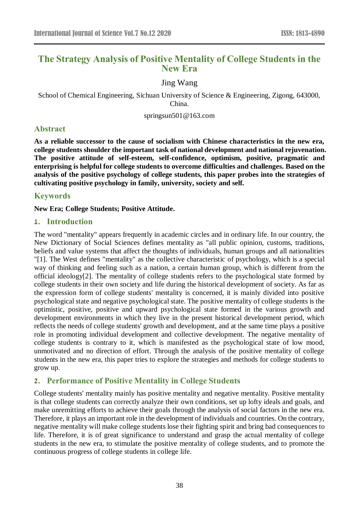# **The Strategy Analysis of Positive Mentality of College Students in the New Era**

Jing Wang

School of Chemical Engineering, Sichuan University of Science & Engineering, Zigong, 643000, China.

springsun501@163.com

# **Abstract**

**As a reliable successor to the cause of socialism with Chinese characteristics in the new era, college students shoulder the important task of national development and national rejuvenation. The positive attitude of self-esteem, self-confidence, optimism, positive, pragmatic and enterprising is helpful for college students to overcome difficulties and challenges. Based on the analysis of the positive psychology of college students, this paper probes into the strategies of cultivating positive psychology in family, university, society and self.**

### **Keywords**

**New Era; College Students; Positive Attitude.**

### **1. Introduction**

The word "mentality" appears frequently in academic circles and in ordinary life. In our country, the New Dictionary of Social Sciences defines mentality as "all public opinion, customs, traditions, beliefs and value systems that affect the thoughts of individuals, human groups and all nationalities "[1]. The West defines "mentality" as the collective characteristic of psychology, which is a special way of thinking and feeling such as a nation, a certain human group, which is different from the official ideology[2]. The mentality of college students refers to the psychological state formed by college students in their own society and life during the historical development of society. As far as the expression form of college students' mentality is concerned, it is mainly divided into positive psychological state and negative psychological state. The positive mentality of college students is the optimistic, positive, positive and upward psychological state formed in the various growth and development environments in which they live in the present historical development period, which reflects the needs of college students' growth and development, and at the same time plays a positive role in promoting individual development and collective development. The negative mentality of college students is contrary to it, which is manifested as the psychological state of low mood, unmotivated and no direction of effort. Through the analysis of the positive mentality of college students in the new era, this paper tries to explore the strategies and methods for college students to grow up.

# **2. Performance of Positive Mentality in College Students**

College students' mentality mainly has positive mentality and negative mentality. Positive mentality is that college students can correctly analyze their own conditions, set up lofty ideals and goals, and make unremitting efforts to achieve their goals through the analysis of social factors in the new era. Therefore, it plays an important role in the development of individuals and countries. On the contrary, negative mentality will make college students lose their fighting spirit and bring bad consequences to life. Therefore, it is of great significance to understand and grasp the actual mentality of college students in the new era, to stimulate the positive mentality of college students, and to promote the continuous progress of college students in college life.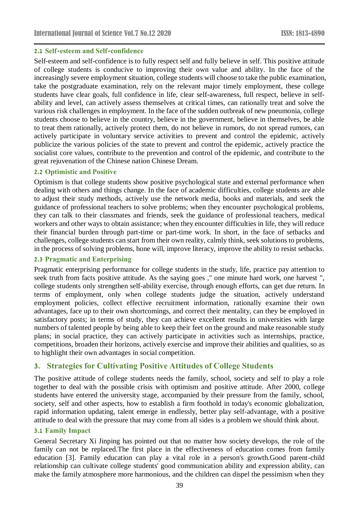### **2.1 Self-esteem and Self-confidence**

Self-esteem and self-confidence is to fully respect self and fully believe in self. This positive attitude of college students is conducive to improving their own value and ability. In the face of the increasingly severe employment situation, college students will choose to take the public examination, take the postgraduate examination, rely on the relevant major timely employment, these college students have clear goals, full confidence in life, clear self-awareness, full respect, believe in selfability and level, can actively assess themselves at critical times, can rationally treat and solve the various risk challenges in employment. In the face of the sudden outbreak of new pneumonia, college students choose to believe in the country, believe in the government, believe in themselves, be able to treat them rationally, actively protect them, do not believe in rumors, do not spread rumors, can actively participate in voluntary service activities to prevent and control the epidemic, actively publicize the various policies of the state to prevent and control the epidemic, actively practice the socialist core values, contribute to the prevention and control of the epidemic, and contribute to the great rejuvenation of the Chinese nation Chinese Dream.

### **2.2 Optimistic and Positive**

Optimism is that college students show positive psychological state and external performance when dealing with others and things change. In the face of academic difficulties, college students are able to adjust their study methods, actively use the network media, books and materials, and seek the guidance of professional teachers to solve problems; when they encounter psychological problems, they can talk to their classmates and friends, seek the guidance of professional teachers, medical workers and other ways to obtain assistance; when they encounter difficulties in life, they will reduce their financial burden through part-time or part-time work. In short, in the face of setbacks and challenges, college students can start from their own reality, calmly think, seek solutions to problems, in the process of solving problems, hone will, improve literacy, improve the ability to resist setbacks.

### **2.3 Pragmatic and Enterprising**

Pragmatic enterprising performance for college students in the study, life, practice pay attention to seek truth from facts positive attitude. As the saying goes ," one minute hard work, one harvest ", college students only strengthen self-ability exercise, through enough efforts, can get due return. In terms of employment, only when college students judge the situation, actively understand employment policies, collect effective recruitment information, rationally examine their own advantages, face up to their own shortcomings, and correct their mentality, can they be employed in satisfactory posts; in terms of study, they can achieve excellent results in universities with large numbers of talented people by being able to keep their feet on the ground and make reasonable study plans; in social practice, they can actively participate in activities such as internships, practice, competitions, broaden their horizons, actively exercise and improve their abilities and qualities, so as to highlight their own advantages in social competition.

### **3. Strategies for Cultivating Positive Attitudes of College Students**

The positive attitude of college students needs the family, school, society and self to play a role together to deal with the possible crisis with optimism and positive attitude. After 2000, college students have entered the university stage, accompanied by their pressure from the family, school, society, self and other aspects, how to establish a firm foothold in today's economic globalization, rapid information updating, talent emerge in endlessly, better play self-advantage, with a positive attitude to deal with the pressure that may come from all sides is a problem we should think about.

### **3.1 Family Impact**

General Secretary Xi Jinping has pointed out that no matter how society develops, the role of the family can not be replaced.The first place in the effectiveness of education comes from family education [3]. Family education can play a vital role in a person's growth.Good parent-child relationship can cultivate college students' good communication ability and expression ability, can make the family atmosphere more harmonious, and the children can dispel the pessimism when they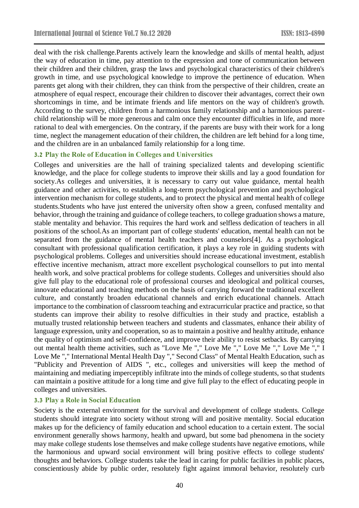deal with the risk challenge.Parents actively learn the knowledge and skills of mental health, adjust the way of education in time, pay attention to the expression and tone of communication between their children and their children, grasp the laws and psychological characteristics of their children's growth in time, and use psychological knowledge to improve the pertinence of education. When parents get along with their children, they can think from the perspective of their children, create an atmosphere of equal respect, encourage their children to discover their advantages, correct their own shortcomings in time, and be intimate friends and life mentors on the way of children's growth. According to the survey, children from a harmonious family relationship and a harmonious parentchild relationship will be more generous and calm once they encounter difficulties in life, and more rational to deal with emergencies. On the contrary, if the parents are busy with their work for a long time, neglect the management education of their children, the children are left behind for a long time, and the children are in an unbalanced family relationship for a long time.

#### **3.2 Play the Role of Education in Colleges and Universities**

Colleges and universities are the hall of training specialized talents and developing scientific knowledge, and the place for college students to improve their skills and lay a good foundation for society.As colleges and universities, it is necessary to carry out value guidance, mental health guidance and other activities, to establish a long-term psychological prevention and psychological intervention mechanism for college students, and to protect the physical and mental health of college students.Students who have just entered the university often show a green, confused mentality and behavior, through the training and guidance of college teachers, to college graduation shows a mature, stable mentality and behavior. This requires the hard work and selfless dedication of teachers in all positions of the school.As an important part of college students' education, mental health can not be separated from the guidance of mental health teachers and counselors[4]. As a psychological consultant with professional qualification certification, it plays a key role in guiding students with psychological problems. Colleges and universities should increase educational investment, establish effective incentive mechanism, attract more excellent psychological counsellors to put into mental health work, and solve practical problems for college students. Colleges and universities should also give full play to the educational role of professional courses and ideological and political courses, innovate educational and teaching methods on the basis of carrying forward the traditional excellent culture, and constantly broaden educational channels and enrich educational channels. Attach importance to the combination of classroom teaching and extracurricular practice and practice, so that students can improve their ability to resolve difficulties in their study and practice, establish a mutually trusted relationship between teachers and students and classmates, enhance their ability of language expression, unity and cooperation, so as to maintain a positive and healthy attitude, enhance the quality of optimism and self-confidence, and improve their ability to resist setbacks. By carrying out mental health theme activities, such as "Love Me "," Love Me "," Love Me "," Love Me "," I Love Me "," International Mental Health Day "," Second Class" of Mental Health Education, such as "Publicity and Prevention of AIDS ", etc., colleges and universities will keep the method of maintaining and mediating imperceptibly infiltrate into the minds of college students, so that students can maintain a positive attitude for a long time and give full play to the effect of educating people in colleges and universities.

### **3.3 Play a Role in Social Education**

Society is the external environment for the survival and development of college students. College students should integrate into society without strong will and positive mentality. Social education makes up for the deficiency of family education and school education to a certain extent. The social environment generally shows harmony, health and upward, but some bad phenomena in the society may make college students lose themselves and make college students have negative emotions, while the harmonious and upward social environment will bring positive effects to college students' thoughts and behaviors. College students take the lead in caring for public facilities in public places, conscientiously abide by public order, resolutely fight against immoral behavior, resolutely curb